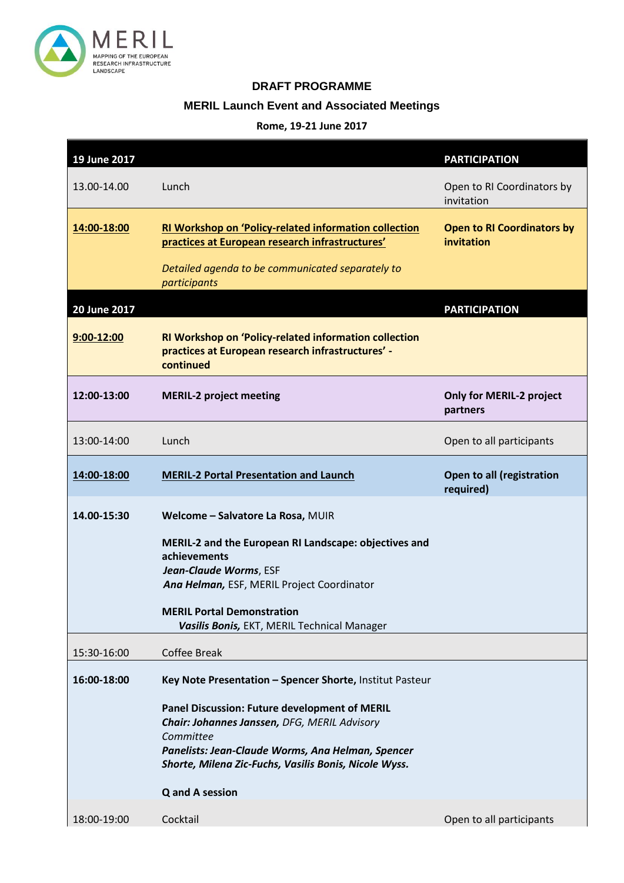

## **DRAFT PROGRAMME**

## **MERIL Launch Event and Associated Meetings**

## **Rome, 19-21 June 2017**

| 19 June 2017 |                                                                                                                                                                                                                          | <b>PARTICIPATION</b>                            |
|--------------|--------------------------------------------------------------------------------------------------------------------------------------------------------------------------------------------------------------------------|-------------------------------------------------|
| 13.00-14.00  | Lunch                                                                                                                                                                                                                    | Open to RI Coordinators by<br>invitation        |
| 14:00-18:00  | RI Workshop on 'Policy-related information collection<br>practices at European research infrastructures'                                                                                                                 | <b>Open to RI Coordinators by</b><br>invitation |
|              | Detailed agenda to be communicated separately to<br>participants                                                                                                                                                         |                                                 |
| 20 June 2017 |                                                                                                                                                                                                                          | <b>PARTICIPATION</b>                            |
| 9:00-12:00   | RI Workshop on 'Policy-related information collection<br>practices at European research infrastructures' -<br>continued                                                                                                  |                                                 |
| 12:00-13:00  | <b>MERIL-2 project meeting</b>                                                                                                                                                                                           | <b>Only for MERIL-2 project</b><br>partners     |
| 13:00-14:00  | Lunch                                                                                                                                                                                                                    | Open to all participants                        |
| 14:00-18:00  | <b>MERIL-2 Portal Presentation and Launch</b>                                                                                                                                                                            | Open to all (registration<br>required)          |
|              |                                                                                                                                                                                                                          |                                                 |
| 14.00-15:30  | Welcome - Salvatore La Rosa, MUIR                                                                                                                                                                                        |                                                 |
|              | MERIL-2 and the European RI Landscape: objectives and<br>achievements<br>Jean-Claude Worms, ESF<br>Ana Helman, ESF, MERIL Project Coordinator                                                                            |                                                 |
|              | <b>MERIL Portal Demonstration</b><br>Vasilis Bonis, EKT, MERIL Technical Manager                                                                                                                                         |                                                 |
| 15:30-16:00  | <b>Coffee Break</b>                                                                                                                                                                                                      |                                                 |
| 16:00-18:00  | Key Note Presentation - Spencer Shorte, Institut Pasteur                                                                                                                                                                 |                                                 |
|              | Panel Discussion: Future development of MERIL<br>Chair: Johannes Janssen, DFG, MERIL Advisory<br>Committee<br>Panelists: Jean-Claude Worms, Ana Helman, Spencer<br>Shorte, Milena Zic-Fuchs, Vasilis Bonis, Nicole Wyss. |                                                 |
| 18:00-19:00  | <b>Q</b> and A session<br>Cocktail                                                                                                                                                                                       | Open to all participants                        |